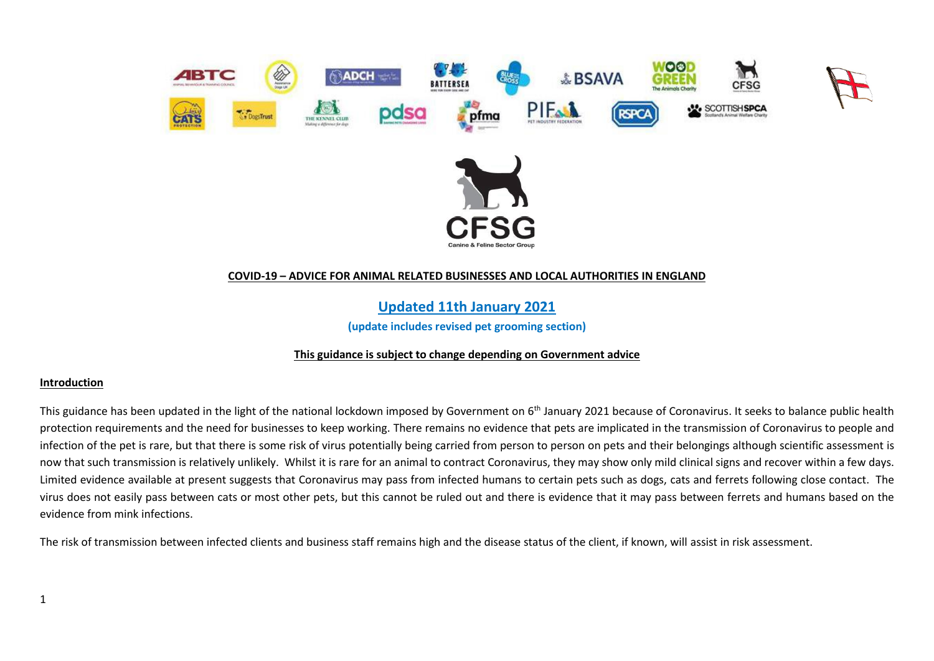

## **COVID-19 – ADVICE FOR ANIMAL RELATED BUSINESSES AND LOCAL AUTHORITIES IN ENGLAND**

**Updated 11th January 2021**

**(update includes revised pet grooming section)**

## **This guidance is subject to change depending on Government advice**

#### **Introduction**

This guidance has been updated in the light of the national lockdown imposed by Government on 6<sup>th</sup> January 2021 because of Coronavirus. It seeks to balance public health protection requirements and the need for businesses to keep working. There remains no evidence that pets are implicated in the transmission of Coronavirus to people and infection of the pet is rare, but that there is some risk of virus potentially being carried from person to person on pets and their belongings although scientific assessment is now that such transmission is relatively unlikely. Whilst it is rare for an animal to contract Coronavirus, they may show only mild clinical signs and recover within a few days. Limited evidence available at present suggests that Coronavirus may pass from infected humans to certain pets such as dogs, cats and ferrets following close contact. The virus does not easily pass between cats or most other pets, but this cannot be ruled out and there is evidence that it may pass between ferrets and humans based on the evidence from mink infections.

The risk of transmission between infected clients and business staff remains high and the disease status of the client, if known, will assist in risk assessment.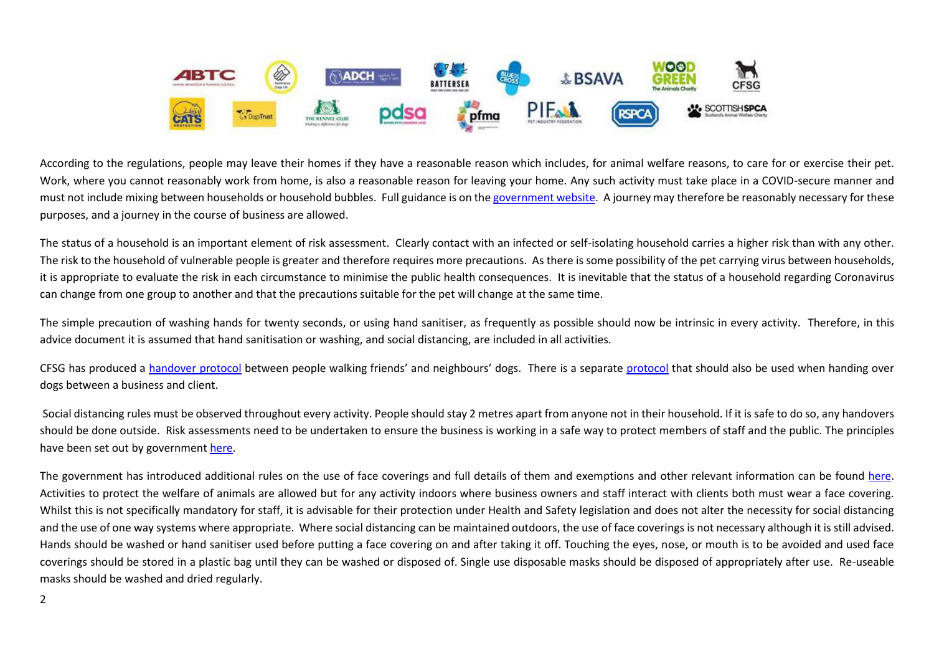

According to the regulations, people may leave their homes if they have a reasonable reason which includes, for animal welfare reasons, to care for or exercise their pet. Work, where you cannot reasonably work from home, is also a reasonable reason for leaving your home. Any such activity must take place in a COVID-secure manner and must not include mixing between households or household bubbles. Full guidance is on th[e government website.](https://www.gov.uk/guidance/new-national-restrictions-from-5-november?priority-taxon=774cee22-d896-44c1-a611-e3109cce8eae#businesses-and-venues) A journey may therefore be reasonably necessary for these purposes, and a journey in the course of business are allowed.

The status of a household is an important element of risk assessment. Clearly contact with an infected or self-isolating household carries a higher risk than with any other. The risk to the household of vulnerable people is greater and therefore requires more precautions. As there is some possibility of the pet carrying virus between households, it is appropriate to evaluate the risk in each circumstance to minimise the public health consequences. It is inevitable that the status of a household regarding Coronavirus can change from one group to another and that the precautions suitable for the pet will change at the same time.

The simple precaution of washing hands for twenty seconds, or using hand sanitiser, as frequently as possible should now be intrinsic in every activity. Therefore, in this advice document it is assumed that hand sanitisation or washing, and social distancing, are included in all activities.

CFSG has produced a [handover protocol](https://www.cfsg.org.uk/coronavirus/) between people walking friends' and neighbours' dogs. There is a separate [protocol](https://www.cfsg.org.uk/coronavirus/) that should also be used when handing over dogs between a business and client.

Social distancing rules must be observed throughout every activity. People should stay 2 metres apart from anyone not in their household. If it is safe to do so, any handovers should be done outside. Risk assessments need to be undertaken to ensure the business is working in a safe way to protect members of staff and the public. The principles have been set out by government [here.](https://www.gov.uk/guidance/social-distancing-in-the-workplace-during-coronavirus-covid-19-sector-guidance)

The government has introduced additional rules on the use of face coverings and full details of them and exemptions and other relevant information can be found [here.](https://www.gov.uk/government/publications/face-coverings-when-to-wear-one-and-how-to-make-your-own/face-coverings-when-to-wear-one-and-how-to-make-your-own#when-to-wear-a-face-covering) Activities to protect the welfare of animals are allowed but for any activity indoors where business owners and staff interact with clients both must wear a face covering. Whilst this is not specifically mandatory for staff, it is advisable for their protection under Health and Safety legislation and does not alter the necessity for social distancing and the use of one way systems where appropriate. Where social distancing can be maintained outdoors, the use of face coverings is not necessary although it is still advised. Hands should be washed or hand sanitiser used before putting a face covering on and after taking it off. Touching the eyes, nose, or mouth is to be avoided and used face coverings should be stored in a plastic bag until they can be washed or disposed of. Single use disposable masks should be disposed of appropriately after use. Re-useable masks should be washed and dried regularly.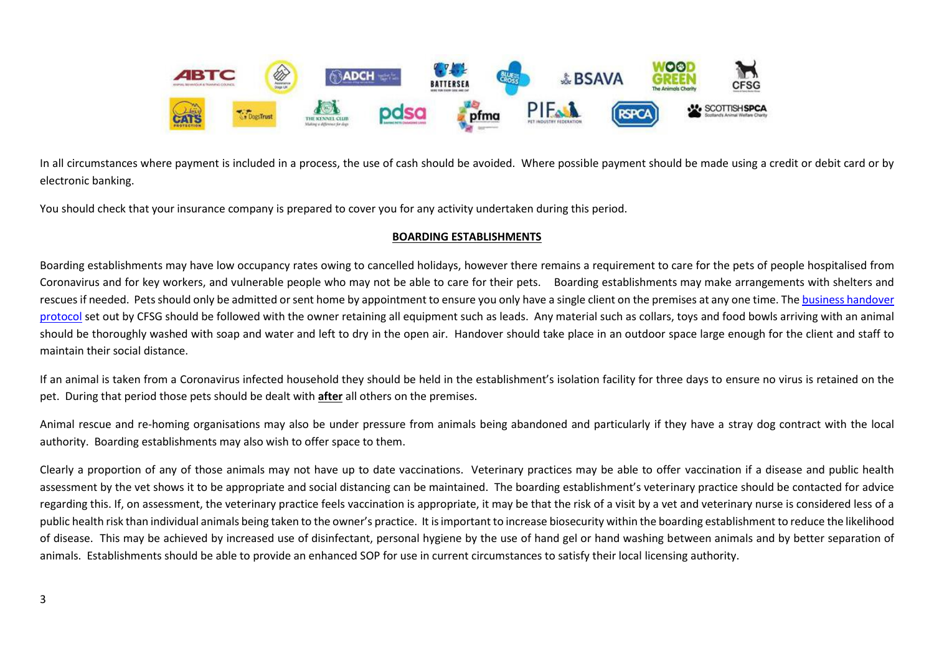

In all circumstances where payment is included in a process, the use of cash should be avoided. Where possible payment should be made using a credit or debit card or by electronic banking.

You should check that your insurance company is prepared to cover you for any activity undertaken during this period.

# **BOARDING ESTABLISHMENTS**

Boarding establishments may have low occupancy rates owing to cancelled holidays, however there remains a requirement to care for the pets of people hospitalised from Coronavirus and for key workers, and vulnerable people who may not be able to care for their pets. Boarding establishments may make arrangements with shelters and rescues if needed. Pets should only be admitted or sent home by appointment to ensure you only have a single client on the premises at any one time. The business handover [protocol](https://www.cfsg.org.uk/coronavirus/) set out by CFSG should be followed with the owner retaining all equipment such as leads. Any material such as collars, toys and food bowls arriving with an animal should be thoroughly washed with soap and water and left to dry in the open air. Handover should take place in an outdoor space large enough for the client and staff to maintain their social distance.

If an animal is taken from a Coronavirus infected household they should be held in the establishment's isolation facility for three days to ensure no virus is retained on the pet. During that period those pets should be dealt with **after** all others on the premises.

Animal rescue and re-homing organisations may also be under pressure from animals being abandoned and particularly if they have a stray dog contract with the local authority. Boarding establishments may also wish to offer space to them.

Clearly a proportion of any of those animals may not have up to date vaccinations. Veterinary practices may be able to offer vaccination if a disease and public health assessment by the vet shows it to be appropriate and social distancing can be maintained. The boarding establishment's veterinary practice should be contacted for advice regarding this. If, on assessment, the veterinary practice feels vaccination is appropriate, it may be that the risk of a visit by a vet and veterinary nurse is considered less of a public health risk than individual animals being taken to the owner's practice. It is important to increase biosecurity within the boarding establishment to reduce the likelihood of disease. This may be achieved by increased use of disinfectant, personal hygiene by the use of hand gel or hand washing between animals and by better separation of animals. Establishments should be able to provide an enhanced SOP for use in current circumstances to satisfy their local licensing authority.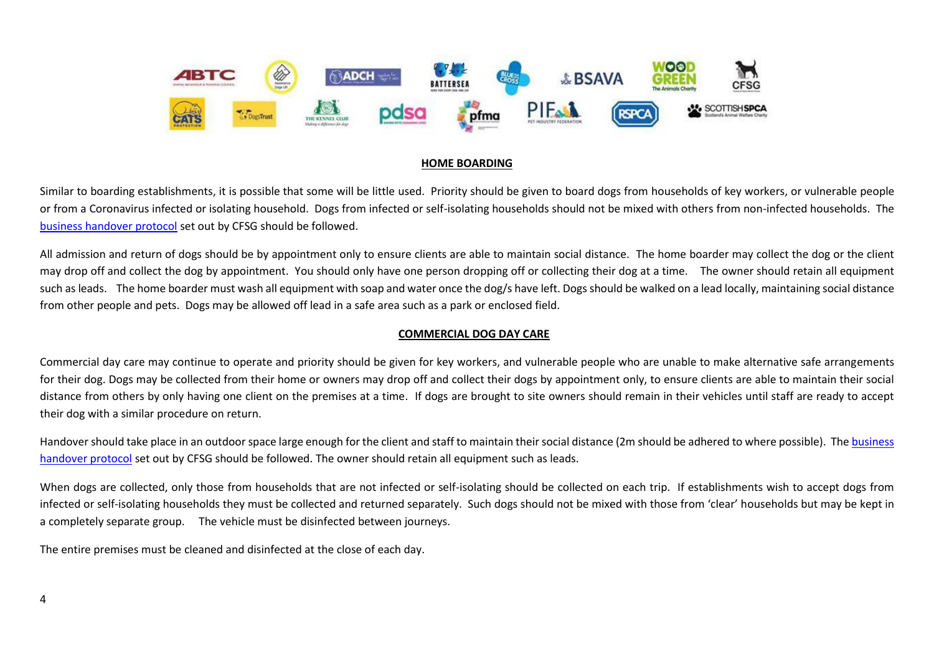

## **HOME BOARDING**

Similar to boarding establishments, it is possible that some will be little used. Priority should be given to board dogs from households of key workers, or vulnerable people or from a Coronavirus infected or isolating household. Dogs from infected or self-isolating households should not be mixed with others from non-infected households. The [business handover protocol](https://www.cfsg.org.uk/coronavirus/) set out by CFSG should be followed.

All admission and return of dogs should be by appointment only to ensure clients are able to maintain social distance. The home boarder may collect the dog or the client may drop off and collect the dog by appointment. You should only have one person dropping off or collecting their dog at a time. The owner should retain all equipment such as leads. The home boarder must wash all equipment with soap and water once the dog/s have left. Dogs should be walked on a lead locally, maintaining social distance from other people and pets. Dogs may be allowed off lead in a safe area such as a park or enclosed field.

## **COMMERCIAL DOG DAY CARE**

Commercial day care may continue to operate and priority should be given for key workers, and vulnerable people who are unable to make alternative safe arrangements for their dog. Dogs may be collected from their home or owners may drop off and collect their dogs by appointment only, to ensure clients are able to maintain their social distance from others by only having one client on the premises at a time. If dogs are brought to site owners should remain in their vehicles until staff are ready to accept their dog with a similar procedure on return.

Handover should take place in an outdoor space large enough for the client and staff to maintain their social distance (2m should be adhered to where possible). The business [handover protocol](https://www.cfsg.org.uk/coronavirus/) set out by CFSG should be followed. The owner should retain all equipment such as leads.

When dogs are collected, only those from households that are not infected or self-isolating should be collected on each trip. If establishments wish to accept dogs from infected or self-isolating households they must be collected and returned separately. Such dogs should not be mixed with those from 'clear' households but may be kept in a completely separate group. The vehicle must be disinfected between journeys.

The entire premises must be cleaned and disinfected at the close of each day.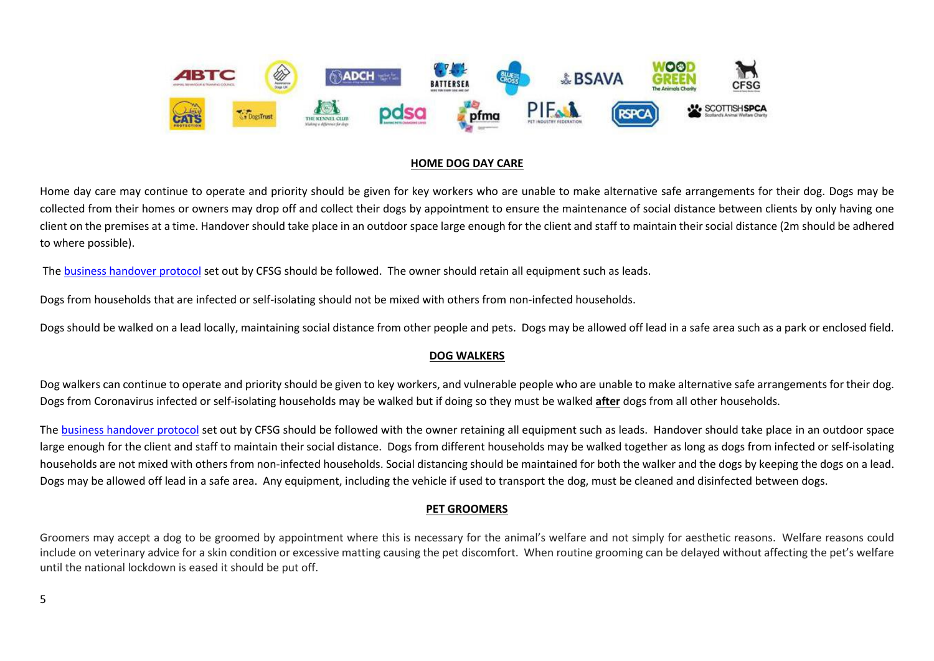

#### **HOME DOG DAY CARE**

Home day care may continue to operate and priority should be given for key workers who are unable to make alternative safe arrangements for their dog. Dogs may be collected from their homes or owners may drop off and collect their dogs by appointment to ensure the maintenance of social distance between clients by only having one client on the premises at a time. Handover should take place in an outdoor space large enough for the client and staff to maintain their social distance (2m should be adhered to where possible).

Th[e business handover protocol](https://www.cfsg.org.uk/coronavirus/) set out by CFSG should be followed. The owner should retain all equipment such as leads.

Dogs from households that are infected or self-isolating should not be mixed with others from non-infected households.

Dogs should be walked on a lead locally, maintaining social distance from other people and pets. Dogs may be allowed off lead in a safe area such as a park or enclosed field.

## **DOG WALKERS**

Dog walkers can continue to operate and priority should be given to key workers, and vulnerable people who are unable to make alternative safe arrangements for their dog. Dogs from Coronavirus infected or self-isolating households may be walked but if doing so they must be walked **after** dogs from all other households.

The [business handover protocol](https://www.cfsg.org.uk/coronavirus/) set out by CFSG should be followed with the owner retaining all equipment such as leads. Handover should take place in an outdoor space large enough for the client and staff to maintain their social distance. Dogs from different households may be walked together as long as dogs from infected or self-isolating households are not mixed with others from non-infected households. Social distancing should be maintained for both the walker and the dogs by keeping the dogs on a lead. Dogs may be allowed off lead in a safe area. Any equipment, including the vehicle if used to transport the dog, must be cleaned and disinfected between dogs.

## **PET GROOMERS**

Groomers may accept a dog to be groomed by appointment where this is necessary for the animal's welfare and not simply for aesthetic reasons. Welfare reasons could include on veterinary advice for a skin condition or excessive matting causing the pet discomfort. When routine grooming can be delayed without affecting the pet's welfare until the national lockdown is eased it should be put off.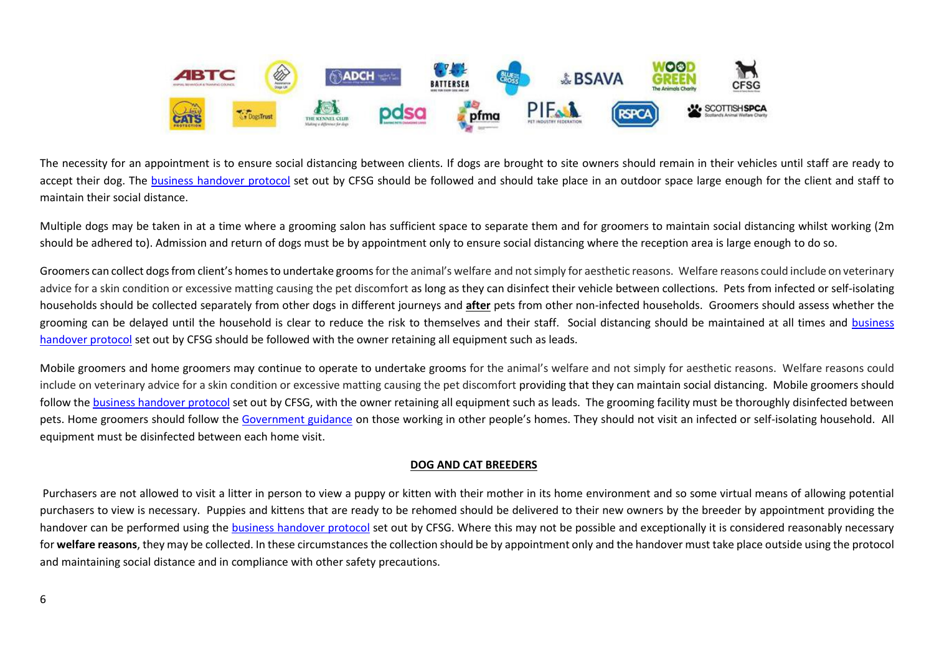

The necessity for an appointment is to ensure social distancing between clients. If dogs are brought to site owners should remain in their vehicles until staff are ready to accept their dog. The [business handover protocol](https://www.cfsg.org.uk/coronavirus/) set out by CFSG should be followed and should take place in an outdoor space large enough for the client and staff to maintain their social distance.

Multiple dogs may be taken in at a time where a grooming salon has sufficient space to separate them and for groomers to maintain social distancing whilst working (2m should be adhered to). Admission and return of dogs must be by appointment only to ensure social distancing where the reception area is large enough to do so.

Groomers can collect dogs from client's homes to undertake grooms for the animal's welfare and not simply for aesthetic reasons. Welfare reasons could include on veterinary advice for a skin condition or excessive matting causing the pet discomfort as long as they can disinfect their vehicle between collections. Pets from infected or self-isolating households should be collected separately from other dogs in different journeys and **after** pets from other non-infected households. Groomers should assess whether the grooming can be delayed until the household is clear to reduce the risk to themselves and their staff. Social distancing should be maintained at all times and business [handover protocol](https://www.cfsg.org.uk/coronavirus/) set out by CFSG should be followed with the owner retaining all equipment such as leads.

Mobile groomers and home groomers may continue to operate to undertake grooms for the animal's welfare and not simply for aesthetic reasons. Welfare reasons could include on veterinary advice for a skin condition or excessive matting causing the pet discomfort providing that they can maintain social distancing. Mobile groomers should follow th[e business handover protocol](https://www.cfsg.org.uk/coronavirus/) set out by CFSG, with the owner retaining all equipment such as leads. The grooming facility must be thoroughly disinfected between pets. Home groomers should follow the [Government guidance](https://www.gov.uk/guidance/working-safely-during-coronavirus-covid-19/homes) on those working in other people's homes. They should not visit an infected or self-isolating household. All equipment must be disinfected between each home visit.

## **DOG AND CAT BREEDERS**

Purchasers are not allowed to visit a litter in person to view a puppy or kitten with their mother in its home environment and so some virtual means of allowing potential purchasers to view is necessary. Puppies and kittens that are ready to be rehomed should be delivered to their new owners by the breeder by appointment providing the handover can be performed using the [business handover protocol](https://www.cfsg.org.uk/coronavirus/) set out by CFSG. Where this may not be possible and exceptionally it is considered reasonably necessary for **welfare reasons**, they may be collected. In these circumstances the collection should be by appointment only and the handover must take place outside using the protocol and maintaining social distance and in compliance with other safety precautions.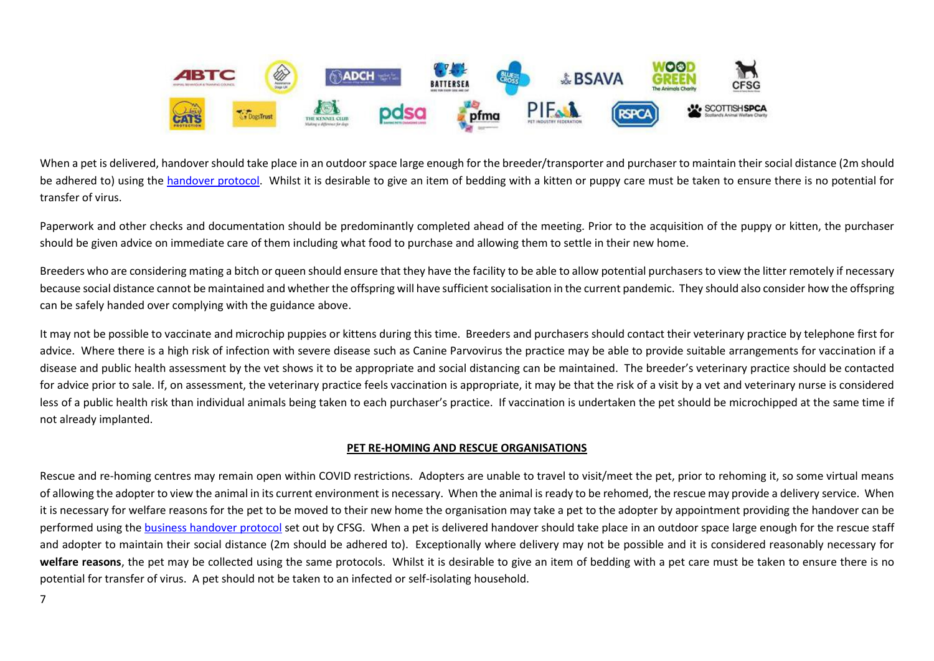

When a pet is delivered, handover should take place in an outdoorspace large enough for the breeder/transporter and purchaser to maintain their social distance (2m should be adhered to) using the [handover protocol.](https://www.cfsg.org.uk/coronavirus/) Whilst it is desirable to give an item of bedding with a kitten or puppy care must be taken to ensure there is no potential for transfer of virus.

Paperwork and other checks and documentation should be predominantly completed ahead of the meeting. Prior to the acquisition of the puppy or kitten, the purchaser should be given advice on immediate care of them including what food to purchase and allowing them to settle in their new home.

Breeders who are considering mating a bitch or queen should ensure that they have the facility to be able to allow potential purchasers to view the litter remotely if necessary because social distance cannot be maintained and whether the offspring will have sufficient socialisation in the current pandemic. They should also consider how the offspring can be safely handed over complying with the guidance above.

It may not be possible to vaccinate and microchip puppies or kittens during this time. Breeders and purchasers should contact their veterinary practice by telephone first for advice. Where there is a high risk of infection with severe disease such as Canine Parvovirus the practice may be able to provide suitable arrangements for vaccination if a disease and public health assessment by the vet shows it to be appropriate and social distancing can be maintained. The breeder's veterinary practice should be contacted for advice prior to sale. If, on assessment, the veterinary practice feels vaccination is appropriate, it may be that the risk of a visit by a vet and veterinary nurse is considered less of a public health risk than individual animals being taken to each purchaser's practice. If vaccination is undertaken the pet should be microchipped at the same time if not already implanted.

#### **PET RE-HOMING AND RESCUE ORGANISATIONS**

Rescue and re-homing centres may remain open within COVID restrictions.Adopters are unable to travel to visit/meet the pet, prior to rehoming it, so some virtual means of allowing the adopter to view the animal in its current environment is necessary. When the animal is ready to be rehomed, the rescue may provide a delivery service. When it is necessary for welfare reasons for the pet to be moved to their new home the organisation may take a pet to the adopter by appointment providing the handover can be performed using the [business handover protocol](https://www.cfsg.org.uk/coronavirus/) set out by CFSG. When a pet is delivered handover should take place in an outdoor space large enough for the rescue staff and adopter to maintain their social distance (2m should be adhered to). Exceptionally where delivery may not be possible and it is considered reasonably necessary for **welfare reasons**, the pet may be collected using the same protocols. Whilst it is desirable to give an item of bedding with a pet care must be taken to ensure there is no potential for transfer of virus. A pet should not be taken to an infected or self-isolating household.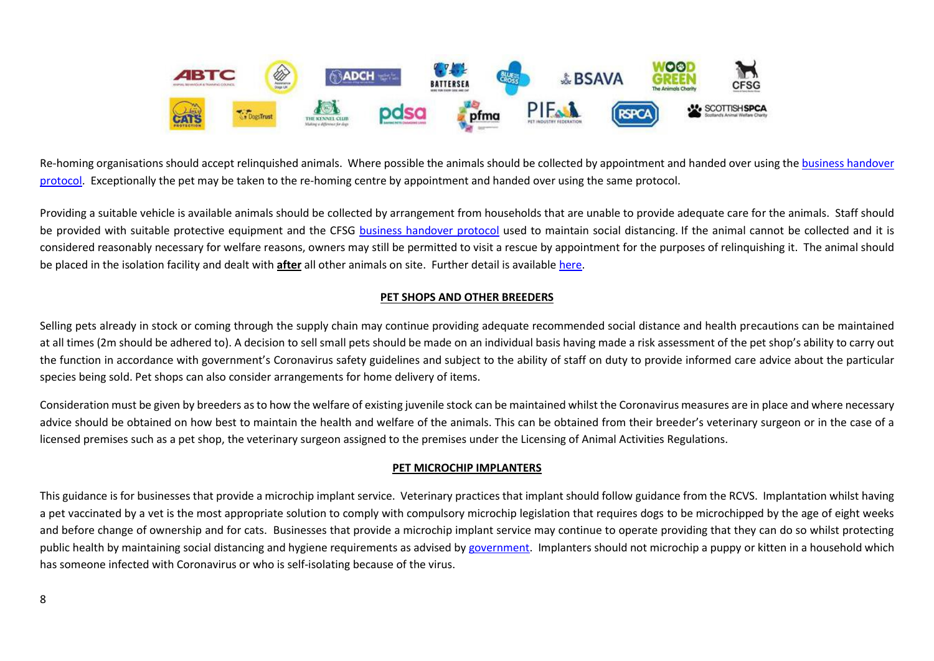

Re-homing organisations should accept relinquished animals. Where possible the animals should be collected by appointment and handed over using the business handover [protocol.](https://www.cfsg.org.uk/coronavirus/) Exceptionally the pet may be taken to the re-homing centre by appointment and handed over using the same protocol.

Providing a suitable vehicle is available animals should be collected by arrangement from households that are unable to provide adequate care for the animals. Staff should be provided with suitable protective equipment and the CFSG [business handover protocol](https://www.cfsg.org.uk/coronavirus/) used to maintain social distancing. If the animal cannot be collected and it is considered reasonably necessary for welfare reasons, owners may still be permitted to visit a rescue by appointment for the purposes of relinquishing it. The animal should be placed in the isolation facility and dealt with **after** all other animals on site. Further detail is available [here.](http://www.cfsg.org.uk/coronavirus/_layouts/15/start.aspx#/)

# **PET SHOPS AND OTHER BREEDERS**

Selling pets already in stock or coming through the supply chain may continue providing adequate recommended social distance and health precautions can be maintained at all times (2m should be adhered to). A decision to sell small pets should be made on an individual basis having made a risk assessment of the pet shop's ability to carry out the function in accordance with government's Coronavirus safety guidelines and subject to the ability of staff on duty to provide informed care advice about the particular species being sold. Pet shops can also consider arrangements for home delivery of items.

Consideration must be given by breeders as to how the welfare of existing juvenile stock can be maintained whilst the Coronavirus measures are in place and where necessary advice should be obtained on how best to maintain the health and welfare of the animals. This can be obtained from their breeder's veterinary surgeon or in the case of a licensed premises such as a pet shop, the veterinary surgeon assigned to the premises under the Licensing of Animal Activities Regulations.

## **PET MICROCHIP IMPLANTERS**

This guidance is for businesses that provide a microchip implant service. Veterinary practices that implant should follow guidance from the RCVS. Implantation whilst having a pet vaccinated by a vet is the most appropriate solution to comply with compulsory microchip legislation that requires dogs to be microchipped by the age of eight weeks and before change of ownership and for cats. Businesses that provide a microchip implant service may continue to operate providing that they can do so whilst protecting public health by maintaining social distancing and hygiene requirements as advised b[y government.](https://www.gov.uk/guidance/working-safely-during-coronavirus-covid-19/homes) Implanters should not microchip a puppy or kitten in a household which has someone infected with Coronavirus or who is self-isolating because of the virus.